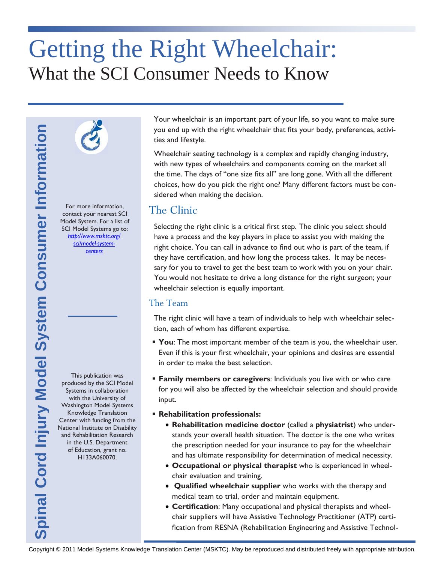# Getting the Right Wheelchair: What the SCI Consumer Needs to Know



For more information, contact your nearest SCI Model System. For a list of SCI Model Systems go to: *[http://www.msktc.org/](http://www.msktc.org/sci/model-system-centers)*

*[sci/model-system](http://www.msktc.org/sci/model-system-centers)[centers](http://www.msktc.org/sci/model-system-centers)*

produced by the SCI Model Systems in collaboration with the University of Washington Model Systems Knowledge Translation Center with funding from the National Institute on Disability and Rehabilitation Research in the U.S. Department of Education, grant no. H133A060070.

This publication was

Your wheelchair is an important part of your life, so you want to make sure you end up with the right wheelchair that fits your body, preferences, activities and lifestyle.

Wheelchair seating technology is a complex and rapidly changing industry, with new types of wheelchairs and components coming on the market all the time. The days of "one size fits all" are long gone. With all the different choices, how do you pick the right one? Many different factors must be considered when making the decision.

### The Clinic

Copyright Weedelbair and the right wheelehalit attention and papilipping industry.<br>
We have types and where the star and propries and pright change in the change of the star and propries at a complex and pright change in t Selecting the right clinic is a critical first step. The clinic you select should have a process and the key players in place to assist you with making the right choice. You can call in advance to find out who is part of the team, if they have certification, and how long the process takes. It may be necessary for you to travel to get the best team to work with you on your chair. You would not hesitate to drive a long distance for the right surgeon; your wheelchair selection is equally important.

#### The Team

The right clinic will have a team of individuals to help with wheelchair selection, each of whom has different expertise.

- **You**: The most important member of the team is you, the wheelchair user. Even if this is your first wheelchair, your opinions and desires are essential in order to make the best selection.
- **Family members or caregivers**: Individuals you live with or who care for you will also be affected by the wheelchair selection and should provide input.
- **Rehabilitation professionals:**
	- **Rehabilitation medicine doctor** (called a **physiatrist**) who understands your overall health situation. The doctor is the one who writes the prescription needed for your insurance to pay for the wheelchair and has ultimate responsibility for determination of medical necessity.
	- **Occupational or physical therapist** who is experienced in wheelchair evaluation and training.
	- **Qualified wheelchair supplier** who works with the therapy and medical team to trial, order and maintain equipment.
	- **Certification**: Many occupational and physical therapists and wheelchair suppliers will have Assistive Technology Practitioner (ATP) certification from RESNA (Rehabilitation Engineering and Assistive Technol-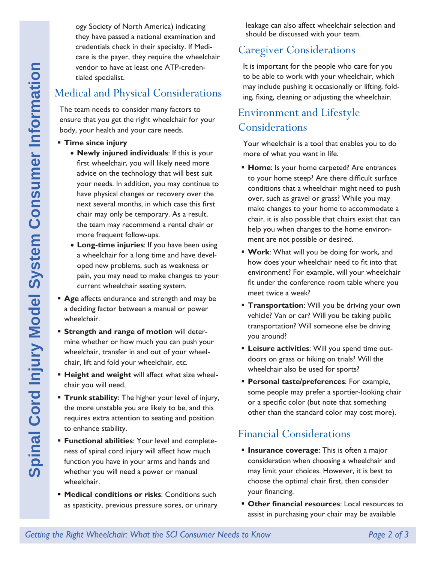ogy Society of North America) indicating they have passed a national examination and credentials check in their specialty. If Medicare is the payer, they require the wheelchair vendor to have at least one ATP-credentialed specialist.

## Medical and Physical Considerations

The team needs to consider many factors to ensure that you get the right wheelchair for your body, your health and your care needs.

- **Time since injury** 
	- **Newly injured individuals**: If this is your first wheelchair, you will likely need more advice on the technology that will best suit your needs. In addition, you may continue to have physical changes or recovery over the next several months, in which case this first chair may only be temporary. As a result, the team may recommend a rental chair or more frequent follow-ups.
	- **Long-time injuries**: If you have been using a wheelchair for a long time and have developed new problems, such as weakness or pain, you may need to make changes to your current wheelchair seating system.
- **Age** affects endurance and strength and may be a deciding factor between a manual or power wheelchair.
- **Strength and range of motion** will determine whether or how much you can push your wheelchair, transfer in and out of your wheelchair, lift and fold your wheelchair, etc.
- **Height and weight** will affect what size wheelchair you will need.
- **Trunk stability:** The higher your level of injury, the more unstable you are likely to be, and this requires extra attention to seating and position to enhance stability.
- **Functional abilities**: Your level and completeness of spinal cord injury will affect how much function you have in your arms and hands and whether you will need a power or manual wheelchair.
- **Medical conditions or risks**: Conditions such as spasticity, previous pressure sores, or urinary

leakage can also affect wheelchair selection and should be discussed with your team.

#### Caregiver Considerations

It is important for the people who care for you to be able to work with your wheelchair, which may include pushing it occasionally or lifting, folding, fixing, cleaning or adjusting the wheelchair.

# Environment and Lifestyle Considerations

Your wheelchair is a tool that enables you to do more of what you want in life.

- **Home:** Is your home carpeted? Are entrances to your home steep? Are there difficult surface conditions that a wheelchair might need to push over, such as gravel or grass? While you may make changes to your home to accommodate a chair, it is also possible that chairs exist that can help you when changes to the home environment are not possible or desired.
- **Work**: What will you be doing for work, and how does your wheelchair need to fit into that environment? For example, will your wheelchair fit under the conference room table where you meet twice a week?
- **Transportation:** Will you be driving your own vehicle? Van or car? Will you be taking public transportation? Will someone else be driving you around?
- **Leisure activities**: Will you spend time outdoors on grass or hiking on trials? Will the wheelchair also be used for sports?
- **Personal taste/preferences**: For example, some people may prefer a sportier-looking chair or a specific color (but note that something other than the standard color may cost more).

## Financial Considerations

- **Insurance coverage:** This is often a major consideration when choosing a wheelchair and may limit your choices. However, it is best to choose the optimal chair first, then consider your financing.
- **Other financial resources**: Local resources to assist in purchasing your chair may be available